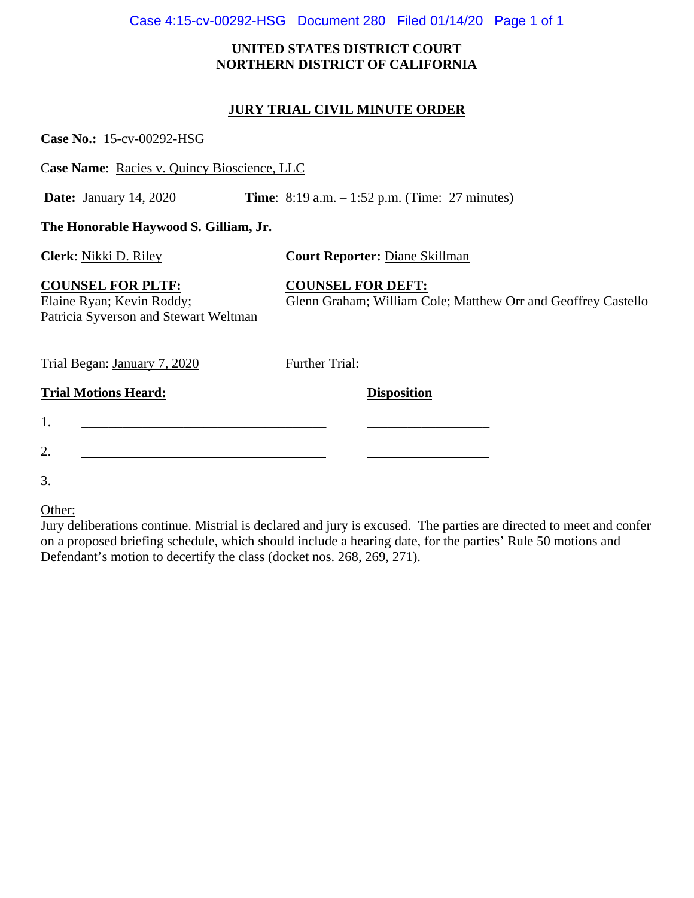## Case 4:15-cv-00292-HSG Document 280 Filed 01/14/20 Page 1 of 1

## **UNITED STATES DISTRICT COURT NORTHERN DISTRICT OF CALIFORNIA**

## **JURY TRIAL CIVIL MINUTE ORDER**

| Case No.: 15-cv-00292-HSG                                                                      |                                                                                           |
|------------------------------------------------------------------------------------------------|-------------------------------------------------------------------------------------------|
| Case Name: Racies v. Quincy Bioscience, LLC                                                    |                                                                                           |
| <b>Date:</b> January 14, 2020                                                                  | <b>Time:</b> 8:19 a.m. $-1:52$ p.m. (Time: 27 minutes)                                    |
| The Honorable Haywood S. Gilliam, Jr.                                                          |                                                                                           |
| Clerk: Nikki D. Riley                                                                          | <b>Court Reporter: Diane Skillman</b>                                                     |
| <b>COUNSEL FOR PLTF:</b><br>Elaine Ryan; Kevin Roddy;<br>Patricia Syverson and Stewart Weltman | <b>COUNSEL FOR DEFT:</b><br>Glenn Graham; William Cole; Matthew Orr and Geoffrey Castello |
| Trial Began: January 7, 2020                                                                   | Further Trial:                                                                            |
| <b>Trial Motions Heard:</b>                                                                    | <b>Disposition</b>                                                                        |
| 1.                                                                                             |                                                                                           |
| 2.                                                                                             |                                                                                           |
| 3.                                                                                             |                                                                                           |

Other:

Jury deliberations continue. Mistrial is declared and jury is excused. The parties are directed to meet and confer on a proposed briefing schedule, which should include a hearing date, for the parties' Rule 50 motions and Defendant's motion to decertify the class (docket nos. 268, 269, 271).